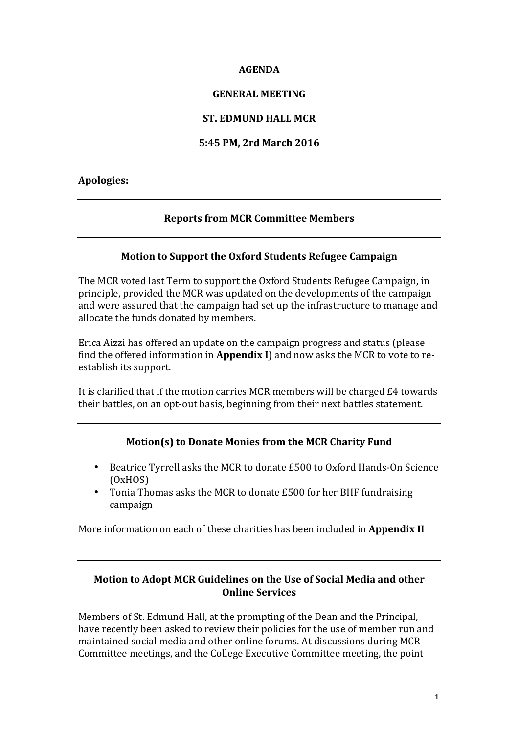#### **AGENDA**

### **GENERAL MEETING**

## **ST. EDMUND HALL MCR**

## **5:45 PM, 2rd March 2016**

## **Apologies:**

# **Reports from MCR Committee Members**

#### **Motion to Support the Oxford Students Refugee Campaign**

The MCR voted last Term to support the Oxford Students Refugee Campaign, in principle, provided the MCR was updated on the developments of the campaign and were assured that the campaign had set up the infrastructure to manage and allocate the funds donated by members.

Erica Aizzi has offered an update on the campaign progress and status (please find the offered information in **Appendix** I) and now asks the MCR to vote to reestablish its support.

It is clarified that if the motion carries MCR members will be charged  $E4$  towards their battles, on an opt-out basis, beginning from their next battles statement.

## **Motion(s) to Donate Monies from the MCR Charity Fund**

- Beatrice Tyrrell asks the MCR to donate £500 to Oxford Hands-On Science (OxHOS)
- Tonia Thomas asks the MCR to donate £500 for her BHF fundraising campaign

More information on each of these charities has been included in **Appendix II** 

## **Motion to Adopt MCR Guidelines on the Use of Social Media and other Online Services**

Members of St. Edmund Hall, at the prompting of the Dean and the Principal, have recently been asked to review their policies for the use of member run and maintained social media and other online forums. At discussions during MCR Committee meetings, and the College Executive Committee meeting, the point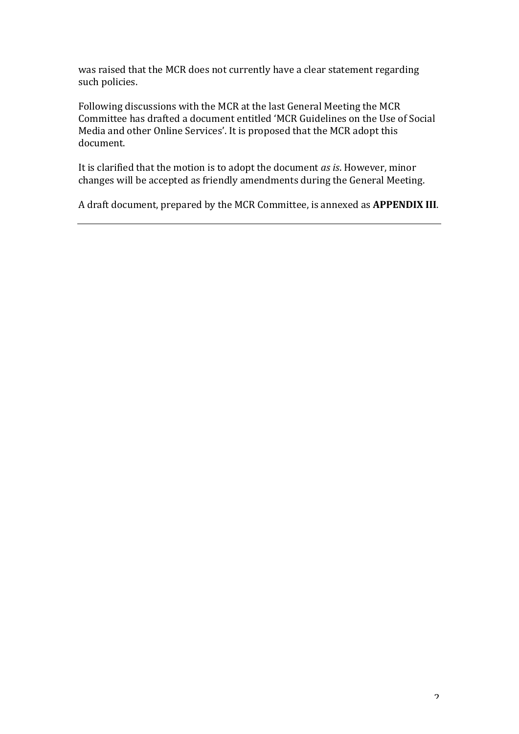was raised that the MCR does not currently have a clear statement regarding such policies.

Following discussions with the MCR at the last General Meeting the MCR Committee has drafted a document entitled 'MCR Guidelines on the Use of Social Media and other Online Services'. It is proposed that the MCR adopt this document.

It is clarified that the motion is to adopt the document *as is*. However, minor changes will be accepted as friendly amendments during the General Meeting.

A draft document, prepared by the MCR Committee, is annexed as **APPENDIX III**.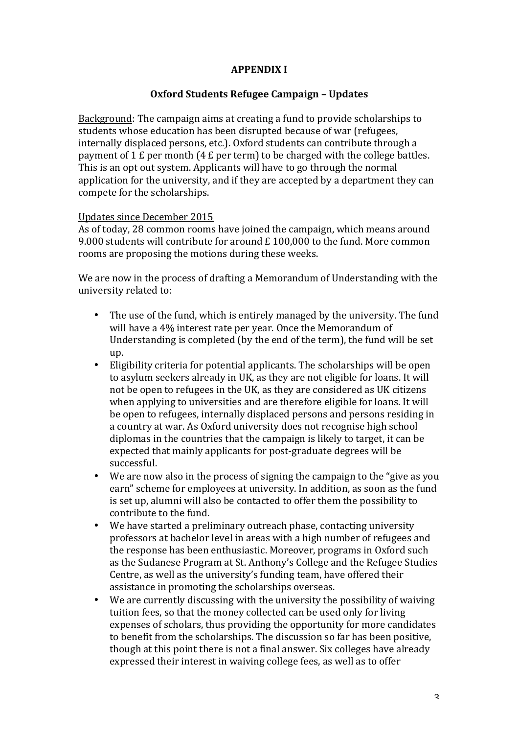# **APPENDIX I**

## **Oxford Students Refugee Campaign – Updates**

Background: The campaign aims at creating a fund to provide scholarships to students whose education has been disrupted because of war (refugees, internally displaced persons, etc.). Oxford students can contribute through a payment of 1  $E$  per month (4  $E$  per term) to be charged with the college battles. This is an opt out system. Applicants will have to go through the normal application for the university, and if they are accepted by a department they can compete for the scholarships.

#### Updates since December 2015

As of today, 28 common rooms have joined the campaign, which means around 9.000 students will contribute for around  $E$  100,000 to the fund. More common rooms are proposing the motions during these weeks.

We are now in the process of drafting a Memorandum of Understanding with the university related to:

- The use of the fund, which is entirely managed by the university. The fund will have a 4% interest rate per year. Once the Memorandum of Understanding is completed (by the end of the term), the fund will be set up.
- Eligibility criteria for potential applicants. The scholarships will be open to asylum seekers already in UK, as they are not eligible for loans. It will not be open to refugees in the UK, as they are considered as UK citizens when applying to universities and are therefore eligible for loans. It will be open to refugees, internally displaced persons and persons residing in a country at war. As Oxford university does not recognise high school diplomas in the countries that the campaign is likely to target, it can be expected that mainly applicants for post-graduate degrees will be successful.
- We are now also in the process of signing the campaign to the "give as you earn" scheme for employees at university. In addition, as soon as the fund is set up, alumni will also be contacted to offer them the possibility to contribute to the fund.
- We have started a preliminary outreach phase, contacting university professors at bachelor level in areas with a high number of refugees and the response has been enthusiastic. Moreover, programs in Oxford such as the Sudanese Program at St. Anthony's College and the Refugee Studies Centre, as well as the university's funding team, have offered their assistance in promoting the scholarships overseas.
- We are currently discussing with the university the possibility of waiving tuition fees, so that the money collected can be used only for living expenses of scholars, thus providing the opportunity for more candidates to benefit from the scholarships. The discussion so far has been positive, though at this point there is not a final answer. Six colleges have already expressed their interest in waiving college fees, as well as to offer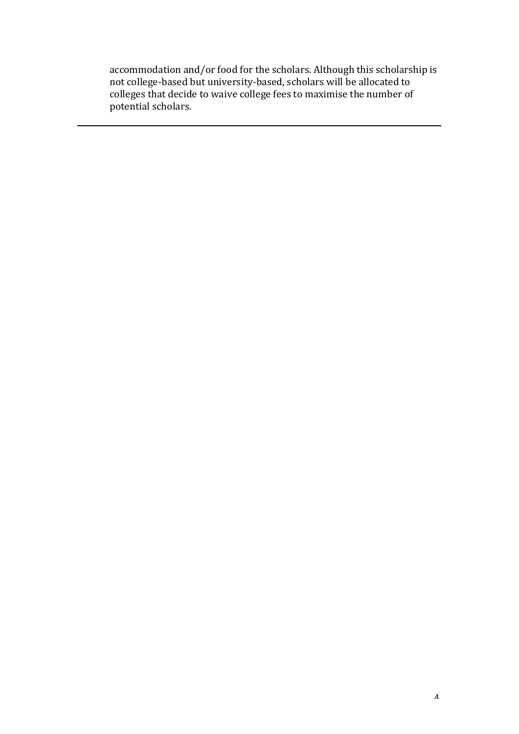accommodation and/or food for the scholars. Although this scholarship is not college-based but university-based, scholars will be allocated to colleges that decide to waive college fees to maximise the number of potential scholars.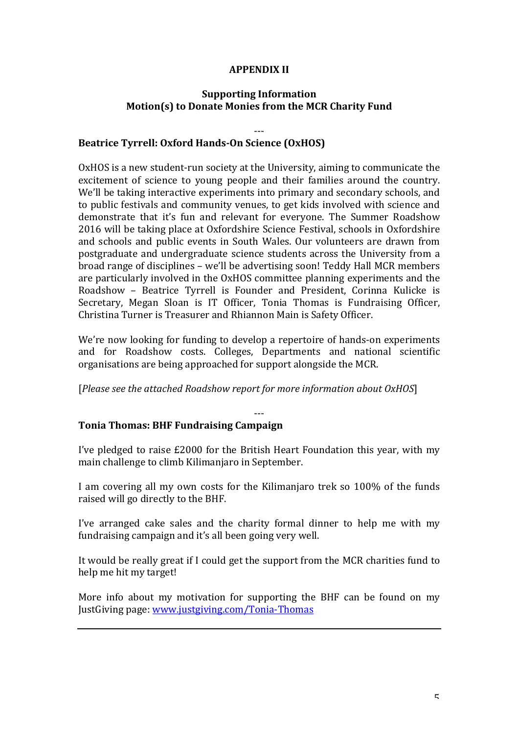# **APPENDIX II**

## **Supporting Information Motion(s) to Donate Monies from the MCR Charity Fund**

---

# **Beatrice Tyrrell: Oxford Hands-On Science (OxHOS)**

OxHOS is a new student-run society at the University, aiming to communicate the excitement of science to young people and their families around the country. We'll be taking interactive experiments into primary and secondary schools, and to public festivals and community venues, to get kids involved with science and demonstrate that it's fun and relevant for everyone. The Summer Roadshow 2016 will be taking place at Oxfordshire Science Festival, schools in Oxfordshire and schools and public events in South Wales. Our volunteers are drawn from postgraduate and undergraduate science students across the University from a broad range of disciplines – we'll be advertising soon! Teddy Hall MCR members are particularly involved in the OxHOS committee planning experiments and the Roadshow - Beatrice Tyrrell is Founder and President, Corinna Kulicke is Secretary, Megan Sloan is IT Officer, Tonia Thomas is Fundraising Officer, Christina Turner is Treasurer and Rhiannon Main is Safety Officer.

We're now looking for funding to develop a repertoire of hands-on experiments and for Roadshow costs. Colleges, Departments and national scientific organisations are being approached for support alongside the MCR.

[*Please see the attached Roadshow report for more information about OxHOS*]

#### --- **Tonia Thomas: BHF Fundraising Campaign**

I've pledged to raise  $£2000$  for the British Heart Foundation this year, with my main challenge to climb Kilimanjaro in September.

I am covering all my own costs for the Kilimanjaro trek so 100% of the funds raised will go directly to the BHF.

I've arranged cake sales and the charity formal dinner to help me with  $my$ fundraising campaign and it's all been going very well.

It would be really great if I could get the support from the MCR charities fund to help me hit my target!

More info about my motivation for supporting the BHF can be found on  $mv$ IustGiving page: www.justgiving.com/Tonia-Thomas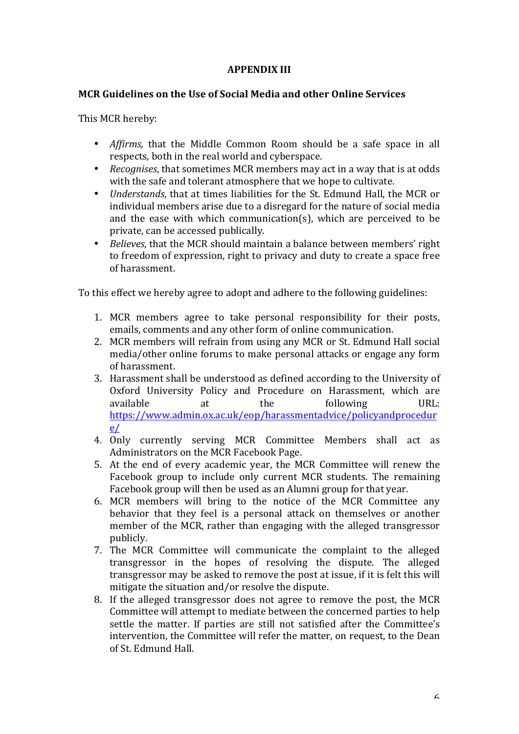## **APPENDIX III**

## **MCR Guidelines on the Use of Social Media and other Online Services**

This MCR hereby:

- *Affirms*, that the Middle Common Room should be a safe space in all respects, both in the real world and cyberspace.
- *Recognises*, that sometimes MCR members may act in a way that is at odds with the safe and tolerant atmosphere that we hope to cultivate.
- *Understands*, that at times liabilities for the St. Edmund Hall, the MCR or individual members arise due to a disregard for the nature of social media and the ease with which communication(s), which are perceived to be private, can be accessed publically.
- *Believes*, that the MCR should maintain a balance between members' right to freedom of expression, right to privacy and duty to create a space free of harassment.

To this effect we hereby agree to adopt and adhere to the following guidelines:

- 1. MCR members agree to take personal responsibility for their posts, emails, comments and any other form of online communication.
- 2. MCR members will refrain from using any MCR or St. Edmund Hall social media/other online forums to make personal attacks or engage any form of harassment.
- 3. Harassment shall be understood as defined according to the University of Oxford University Policy and Procedure on Harassment, which are available at the following URL: https://www.admin.ox.ac.uk/eop/harassmentadvice/policyandprocedur e/
- 4. Only currently serving MCR Committee Members shall act as Administrators on the MCR Facebook Page.
- 5. At the end of every academic year, the MCR Committee will renew the Facebook group to include only current MCR students. The remaining Facebook group will then be used as an Alumni group for that year.
- 6. MCR members will bring to the notice of the MCR Committee any behavior that they feel is a personal attack on themselves or another member of the MCR, rather than engaging with the alleged transgressor publicly.
- 7. The MCR Committee will communicate the complaint to the alleged transgressor in the hopes of resolving the dispute. The alleged transgressor may be asked to remove the post at issue, if it is felt this will mitigate the situation and/or resolve the dispute.
- 8. If the alleged transgressor does not agree to remove the post, the MCR Committee will attempt to mediate between the concerned parties to help settle the matter. If parties are still not satisfied after the Committee's intervention, the Committee will refer the matter, on request, to the Dean of St. Edmund Hall.